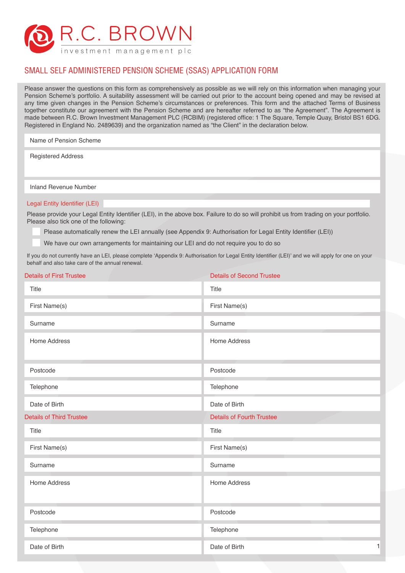

# SMALL SELF ADMINISTERED PENSION SCHEME (SSAS) APPLICATION FORM

Please answer the questions on this form as comprehensively as possible as we will rely on this information when managing your Pension Scheme's portfolio. A suitability assessment will be carried out prior to the account being opened and may be revised at any time given changes in the Pension Scheme's circumstances or preferences. This form and the attached Terms of Business together constitute our agreement with the Pension Scheme and are hereafter referred to as "the Agreement". The Agreement is made between R.C. Brown Investment Management PLC (RCBIM) (registered office: 1 The Square, Temple Quay, Bristol BS1 6DG. Registered in England No. 2489639) and the organization named as "the Client" in the declaration below.

Name of Pension Scheme

Registered Address

Inland Revenue Number

#### Legal Entity Identifier (LEI)

Please provide your Legal Entity Identifier (LEI), in the above box. Failure to do so will prohibit us from trading on your portfolio. Please also tick one of the following:

Please automatically renew the LEI annually (see Appendix 9: Authorisation for Legal Entity Identifier (LEI))

We have our own arrangements for maintaining our LEI and do not require you to do so

If you do not currently have an LEI, please complete 'Appendix 9: Authorisation for Legal Entity Identifier (LEI)' and we will apply for one on your behalf and also take care of the annual renewal.

| <b>Details of First Trustee</b> | <b>Details of Second Trustee</b> |
|---------------------------------|----------------------------------|
| Title                           | Title                            |
| First Name(s)                   | First Name(s)                    |
| Surname                         | Surname                          |
| Home Address                    | <b>Home Address</b>              |
| Postcode                        | Postcode                         |
| Telephone                       | Telephone                        |
| Date of Birth                   | Date of Birth                    |
| <b>Details of Third Trustee</b> | <b>Details of Fourth Trustee</b> |
| Title                           | Title                            |
| First Name(s)                   | First Name(s)                    |
| Surname                         | Surname                          |
| Home Address                    | Home Address                     |
| Postcode                        | Postcode                         |
| Telephone                       | Telephone                        |
| Date of Birth                   | $\mathbf{1}$<br>Date of Birth    |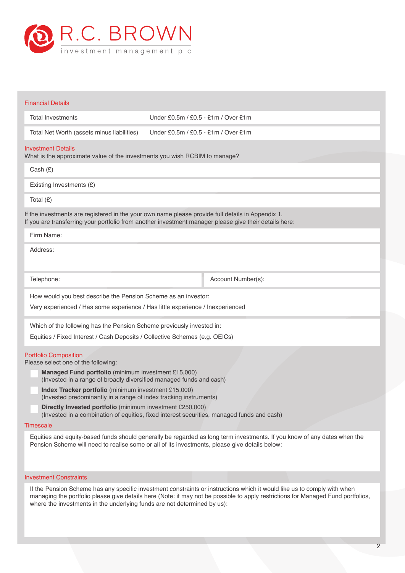

| <b>Financial Details</b>                                                                                                                                                                                    |                                     |                                                                                                                          |
|-------------------------------------------------------------------------------------------------------------------------------------------------------------------------------------------------------------|-------------------------------------|--------------------------------------------------------------------------------------------------------------------------|
| <b>Total Investments</b>                                                                                                                                                                                    | Under £0.5m / £0.5 - £1m / Over £1m |                                                                                                                          |
| Total Net Worth (assets minus liabilities)                                                                                                                                                                  | Under £0.5m / £0.5 - £1m / Over £1m |                                                                                                                          |
| <b>Investment Details</b><br>What is the approximate value of the investments you wish RCBIM to manage?                                                                                                     |                                     |                                                                                                                          |
| Cash $(E)$                                                                                                                                                                                                  |                                     |                                                                                                                          |
| Existing Investments (£)                                                                                                                                                                                    |                                     |                                                                                                                          |
| Total $(E)$                                                                                                                                                                                                 |                                     |                                                                                                                          |
| If the investments are registered in the your own name please provide full details in Appendix 1.<br>If you are transferring your portfolio from another investment manager please give their details here: |                                     |                                                                                                                          |
| Firm Name:                                                                                                                                                                                                  |                                     |                                                                                                                          |
| Address:                                                                                                                                                                                                    |                                     |                                                                                                                          |
| Telephone:                                                                                                                                                                                                  |                                     | Account Number(s):                                                                                                       |
| How would you best describe the Pension Scheme as an investor:<br>Very experienced / Has some experience / Has little experience / Inexperienced                                                            |                                     |                                                                                                                          |
| Which of the following has the Pension Scheme previously invested in:                                                                                                                                       |                                     |                                                                                                                          |
| Equities / Fixed Interest / Cash Deposits / Collective Schemes (e.g. OEICs)                                                                                                                                 |                                     |                                                                                                                          |
| <b>Portfolio Composition</b><br>Please select one of the following:                                                                                                                                         |                                     |                                                                                                                          |
| Managed Fund portfolio (minimum investment £15,000)<br>(Invested in a range of broadly diversified managed funds and cash)                                                                                  |                                     |                                                                                                                          |
| Index Tracker portfolio (minimum investment £15,000)<br>(Invested predominantly in a range of index tracking instruments)                                                                                   |                                     |                                                                                                                          |
| Directly Invested portfolio (minimum investment £250,000)<br>(Invested in a combination of equities, fixed interest securities, managed funds and cash)                                                     |                                     |                                                                                                                          |
| Timescale                                                                                                                                                                                                   |                                     |                                                                                                                          |
| Pension Scheme will need to realise some or all of its investments, please give details below:                                                                                                              |                                     | Equities and equity-based funds should generally be regarded as long term investments. If you know of any dates when the |
| <b>Investment Constraints</b>                                                                                                                                                                               |                                     |                                                                                                                          |

If the Pension Scheme has any specific investment constraints or instructions which it would like us to comply with when managing the portfolio please give details here (Note: it may not be possible to apply restrictions for Managed Fund portfolios, where the investments in the underlying funds are not determined by us):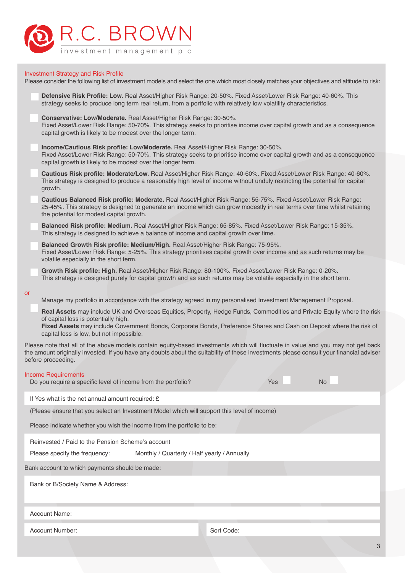

## Investment Strategy and Risk Profile

Please consider the following list of investment models and select the one which most closely matches your objectives and attitude to risk:

|           | Defensive Risk Profile: Low. Real Asset/Higher Risk Range: 20-50%. Fixed Asset/Lower Risk Range: 40-60%. This<br>strategy seeks to produce long term real return, from a portfolio with relatively low volatility characteristics.                                                                                                |
|-----------|-----------------------------------------------------------------------------------------------------------------------------------------------------------------------------------------------------------------------------------------------------------------------------------------------------------------------------------|
|           | Conservative: Low/Moderate. Real Asset/Higher Risk Range: 30-50%.<br>Fixed Asset/Lower Risk Range: 50-70%. This strategy seeks to prioritise income over capital growth and as a consequence<br>capital growth is likely to be modest over the longer term.                                                                       |
|           | Income/Cautious Risk profile: Low/Moderate. Real Asset/Higher Risk Range: 30-50%.<br>Fixed Asset/Lower Risk Range: 50-70%. This strategy seeks to prioritise income over capital growth and as a consequence<br>capital growth is likely to be modest over the longer term.                                                       |
|           | Cautious Risk profile: Moderate/Low. Real Asset/Higher Risk Range: 40-60%. Fixed Asset/Lower Risk Range: 40-60%.<br>This strategy is designed to produce a reasonably high level of income without unduly restricting the potential for capital<br>growth.                                                                        |
|           | Cautious Balanced Risk profile: Moderate. Real Asset/Higher Risk Range: 55-75%. Fixed Asset/Lower Risk Range:<br>25-45%. This strategy is designed to generate an income which can grow modestly in real terms over time whilst retaining<br>the potential for modest capital growth.                                             |
|           | Balanced Risk profile: Medium. Real Asset/Higher Risk Range: 65-85%. Fixed Asset/Lower Risk Range: 15-35%.<br>This strategy is designed to achieve a balance of income and capital growth over time.                                                                                                                              |
|           | Balanced Growth Risk profile: Medium/High. Real Asset/Higher Risk Range: 75-95%.<br>Fixed Asset/Lower Risk Range: 5-25%. This strategy prioritises capital growth over income and as such returns may be<br>volatile especially in the short term.                                                                                |
|           | Growth Risk profile: High. Real Asset/Higher Risk Range: 80-100%. Fixed Asset/Lower Risk Range: 0-20%.<br>This strategy is designed purely for capital growth and as such returns may be volatile especially in the short term.                                                                                                   |
| <b>or</b> | Manage my portfolio in accordance with the strategy agreed in my personalised Investment Management Proposal.                                                                                                                                                                                                                     |
|           | Real Assets may include UK and Overseas Equities, Property, Hedge Funds, Commodities and Private Equity where the risk<br>of capital loss is potentially high.<br>Fixed Assets may include Government Bonds, Corporate Bonds, Preference Shares and Cash on Deposit where the risk of<br>capital loss is low, but not impossible. |
|           | Please note that all of the above models contain equity-based investments which will fluctuate in value and you may not get back<br>the amount originally invested. If you have any doubts about the suitability of these investments please consult your financial adviser<br>before proceeding.                                 |
|           | <b>Income Requirements</b><br><b>No</b><br>Do you require a specific level of income from the portfolio?<br>Yes                                                                                                                                                                                                                   |
|           | If Yes what is the net annual amount required: £                                                                                                                                                                                                                                                                                  |
|           | (Please ensure that you select an Investment Model which will support this level of income)                                                                                                                                                                                                                                       |
|           | Please indicate whether you wish the income from the portfolio to be:                                                                                                                                                                                                                                                             |
|           | Reinvested / Paid to the Pension Scheme's account                                                                                                                                                                                                                                                                                 |
|           | Monthly / Quarterly / Half yearly / Annually<br>Please specify the frequency:                                                                                                                                                                                                                                                     |
|           | Bank account to which payments should be made:                                                                                                                                                                                                                                                                                    |
|           | Bank or B/Society Name & Address:                                                                                                                                                                                                                                                                                                 |

Account Name:

Account Number: Sort Code: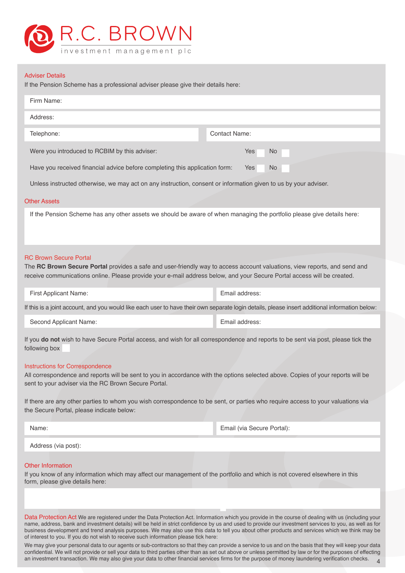

#### Adviser Details

If the Pension Scheme has a professional adviser please give their details here:

| Firm Name:                                                                                                                                                                                                                                                                            |                                                                                                                                                |
|---------------------------------------------------------------------------------------------------------------------------------------------------------------------------------------------------------------------------------------------------------------------------------------|------------------------------------------------------------------------------------------------------------------------------------------------|
| Address:                                                                                                                                                                                                                                                                              |                                                                                                                                                |
| Telephone:                                                                                                                                                                                                                                                                            | <b>Contact Name:</b>                                                                                                                           |
| Were you introduced to RCBIM by this adviser:                                                                                                                                                                                                                                         | Yes<br>No.                                                                                                                                     |
| Have you received financial advice before completing this application form:                                                                                                                                                                                                           | Yes<br>No.                                                                                                                                     |
| Unless instructed otherwise, we may act on any instruction, consent or information given to us by your adviser.                                                                                                                                                                       |                                                                                                                                                |
| <b>Other Assets</b>                                                                                                                                                                                                                                                                   |                                                                                                                                                |
| If the Pension Scheme has any other assets we should be aware of when managing the portfolio please give details here:                                                                                                                                                                |                                                                                                                                                |
| <b>RC Brown Secure Portal</b><br>The RC Brown Secure Portal provides a safe and user-friendly way to access account valuations, view reports, and send and<br>receive communications online. Please provide your e-mail address below, and your Secure Portal access will be created. |                                                                                                                                                |
| First Applicant Name:                                                                                                                                                                                                                                                                 | Email address:                                                                                                                                 |
|                                                                                                                                                                                                                                                                                       | If this is a joint account, and you would like each user to have their own separate login details, please insert additional information below: |
| Second Applicant Name:                                                                                                                                                                                                                                                                | Email address:                                                                                                                                 |
| If you do not wish to have Secure Portal access, and wish for all correspondence and reports to be sent via post, please tick the<br>following box                                                                                                                                    |                                                                                                                                                |
| <b>Instructions for Correspondence</b><br>All correspondence and reports will be sent to you in accordance with the options selected above. Copies of your reports will be<br>sent to your adviser via the RC Brown Secure Portal.                                                    |                                                                                                                                                |
| If there are any other parties to whom you wish correspondence to be sent, or parties who require access to your valuations via<br>the Secure Portal, please indicate below:                                                                                                          |                                                                                                                                                |
|                                                                                                                                                                                                                                                                                       |                                                                                                                                                |

Address (via post):

## Other Information

If you know of any information which may affect our management of the portfolio and which is not covered elsewhere in this form, please give details here:

Data Protection Act We are registered under the Data Protection Act. Information which you provide in the course of dealing with us (including your name, address, bank and investment details) will be held in strict confidence by us and used to provide our investment services to you, as well as for business development and trend analysis purposes. We may also use this data to tell you about other products and services which we think may be of interest to you. If you do not wish to receive such information please tick here:

4 We may give your personal data to our agents or sub-contractors so that they can provide a service to us and on the basis that they will keep your data confidential. We will not provide or sell your data to third parties other than as set out above or unless permitted by law or for the purposes of effecting an investment transaction. We may also give your data to other financial services firms for the purpose of money laundering verification checks.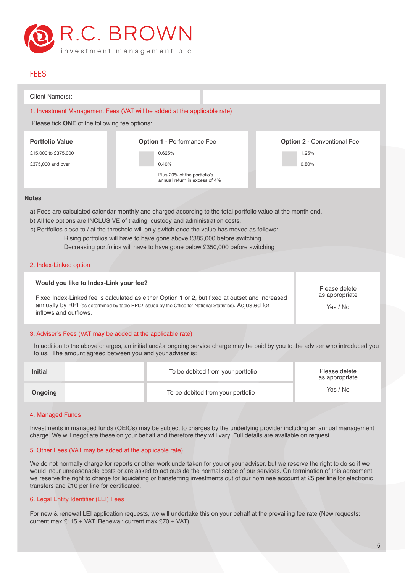

# **FEES**

| Client Name(s):        |                                                             |                                                                                                                                                                                                                                                                                                                                               |                                             |
|------------------------|-------------------------------------------------------------|-----------------------------------------------------------------------------------------------------------------------------------------------------------------------------------------------------------------------------------------------------------------------------------------------------------------------------------------------|---------------------------------------------|
|                        |                                                             | 1. Investment Management Fees (VAT will be added at the applicable rate)                                                                                                                                                                                                                                                                      |                                             |
|                        | Please tick ONE of the following fee options:               |                                                                                                                                                                                                                                                                                                                                               |                                             |
| <b>Portfolio Value</b> |                                                             |                                                                                                                                                                                                                                                                                                                                               |                                             |
|                        |                                                             | Option 1 - Performance Fee                                                                                                                                                                                                                                                                                                                    | <b>Option 2 - Conventional Fee</b>          |
| £15,000 to £375,000    |                                                             | 0.625%                                                                                                                                                                                                                                                                                                                                        | 1.25%                                       |
| £375,000 and over      |                                                             | 0.40%                                                                                                                                                                                                                                                                                                                                         | 0.80%                                       |
|                        |                                                             | Plus 20% of the portfolio's<br>annual return in excess of 4%                                                                                                                                                                                                                                                                                  |                                             |
| <b>Notes</b>           |                                                             |                                                                                                                                                                                                                                                                                                                                               |                                             |
| 2. Index-Linked option |                                                             | b) All fee options are INCLUSIVE of trading, custody and administration costs.<br>c) Portfolios close to / at the threshold will only switch once the value has moved as follows:<br>Rising portfolios will have to have gone above £385,000 before switching<br>Decreasing portfolios will have to have gone below £350,000 before switching |                                             |
| inflows and outflows.  | Would you like to Index-Link your fee?                      | Fixed Index-Linked fee is calculated as either Option 1 or 2, but fixed at outset and increased<br>annually by RPI (as determined by table RP02 issued by the Office for National Statistics). Adjusted for                                                                                                                                   | Please delete<br>as appropriate<br>Yes / No |
|                        | 3. Adviser's Fees (VAT may be added at the applicable rate) |                                                                                                                                                                                                                                                                                                                                               |                                             |
|                        | to us. The amount agreed between you and your adviser is:   | In addition to the above charges, an initial and/or ongoing service charge may be paid by you to the adviser who introduced you                                                                                                                                                                                                               |                                             |
| <b>Initial</b>         |                                                             | To be debited from your portfolio                                                                                                                                                                                                                                                                                                             | Please delete<br>as appropriate             |
|                        |                                                             | The first short is to a distinct a component of the first state of the                                                                                                                                                                                                                                                                        | Yes / No                                    |

4. Managed Funds

Investments in managed funds (OEICs) may be subject to charges by the underlying provider including an annual management charge. We will negotiate these on your behalf and therefore they will vary. Full details are available on request.

## 5. Other Fees (VAT may be added at the applicable rate)

**Ongoing** To be debited from your portfolio

We do not normally charge for reports or other work undertaken for you or your adviser, but we reserve the right to do so if we would incur unreasonable costs or are asked to act outside the normal scope of our services. On termination of this agreement we reserve the right to charge for liquidating or transferring investments out of our nominee account at £5 per line for electronic transfers and £10 per line for certificated.

### 6. Legal Entity Identifier (LEI) Fees

For new & renewal LEI application requests, we will undertake this on your behalf at the prevailing fee rate (New requests: current max £115 + VAT. Renewal: current max £70 + VAT).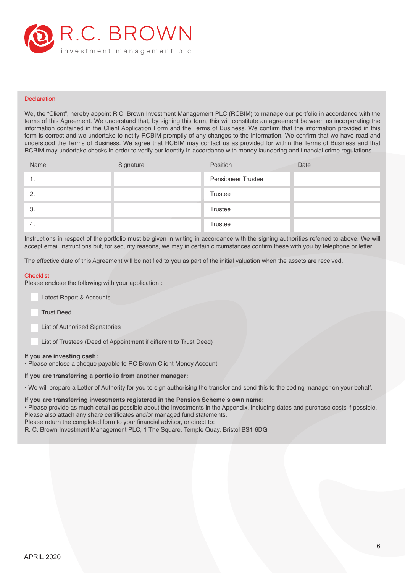

#### **Declaration**

We, the "Client", hereby appoint R.C. Brown Investment Management PLC (RCBIM) to manage our portfolio in accordance with the terms of this Agreement. We understand that, by signing this form, this will constitute an agreement between us incorporating the information contained in the Client Application Form and the Terms of Business. We confirm that the information provided in this form is correct and we undertake to notify RCBIM promptly of any changes to the information. We confirm that we have read and understood the Terms of Business. We agree that RCBIM may contact us as provided for within the Terms of Business and that RCBIM may undertake checks in order to verify our identity in accordance with money laundering and financial crime regulations.

| Name           | Signature | Position                  | Date |
|----------------|-----------|---------------------------|------|
| . .            |           | <b>Pensioneer Trustee</b> |      |
| $\overline{2}$ |           | Trustee                   |      |
| 3.             |           | Trustee                   |      |
| -4.            |           | <b>Trustee</b>            |      |

Instructions in respect of the portfolio must be given in writing in accordance with the signing authorities referred to above. We will accept email instructions but, for security reasons, we may in certain circumstances confirm these with you by telephone or letter.

The effective date of this Agreement will be notified to you as part of the initial valuation when the assets are received.

#### **Checklist**

Please enclose the following with your application :

- Latest Report & Accounts
- Trust Deed
- List of Authorised Signatories

List of Trustees (Deed of Appointment if different to Trust Deed)

#### **If you are investing cash:**

• Please enclose a cheque payable to RC Brown Client Money Account.

#### **If you are transferring a portfolio from another manager:**

• We will prepare a Letter of Authority for you to sign authorising the transfer and send this to the ceding manager on your behalf.

# **If you are transferring investments registered in the Pension Scheme's own name:**

• Please provide as much detail as possible about the investments in the Appendix, including dates and purchase costs if possible. Please also attach any share certificates and/or managed fund statements.

Please return the completed form to your financial advisor, or direct to:

R. C. Brown Investment Management PLC, 1 The Square, Temple Quay, Bristol BS1 6DG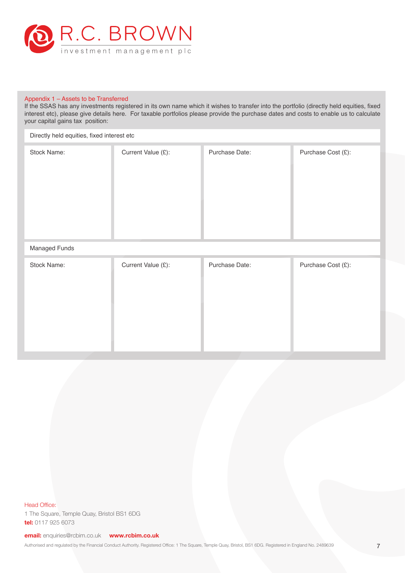

## Appendix 1 – Assets to be Transferred

If the SSAS has any investments registered in its own name which it wishes to transfer into the portfolio (directly held equities, fixed interest etc), please give details here. For taxable portfolios please provide the purchase dates and costs to enable us to calculate your capital gains tax position:

| Directly held equities, fixed interest etc |                    |                |                    |
|--------------------------------------------|--------------------|----------------|--------------------|
| Stock Name:                                | Current Value (£): | Purchase Date: | Purchase Cost (£): |
| Managed Funds                              |                    |                |                    |
| Stock Name:                                | Current Value (£): | Purchase Date: | Purchase Cost (£): |

Head Office:

1 The Square, Temple Quay, Bristol BS1 6DG **tel:** 0117 925 6073

**email:** enquiries@rcbim.co.uk **www.rcbim.co.uk**